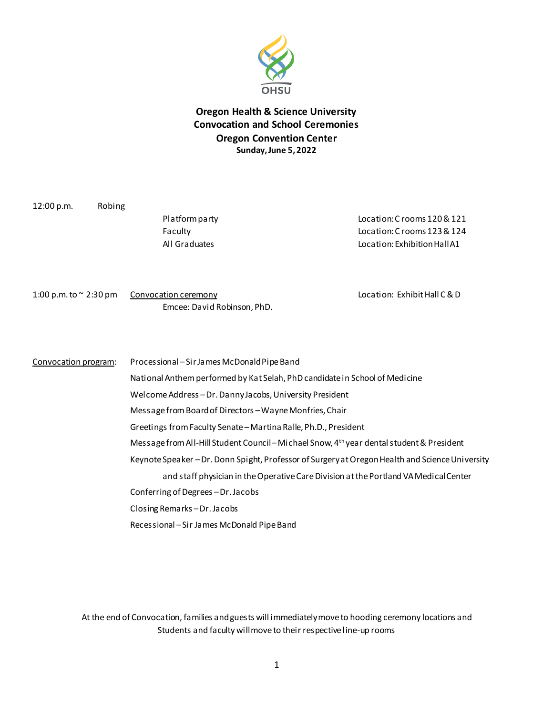

## **Oregon Health & Science University Convocation and School Ceremonies Oregon Convention Center Sunday, June 5, 2022**

12:00 p.m. Robing Platform party Location: C rooms 120 & 121 Faculty Location: C rooms 123 & 124 All Graduates Location: Exhibition Hall A1 1:00 p.m. to ~ 2:30 pm Convocation ceremony example that the control of the Location: Exhibit Hall C & D Emcee: David Robinson, PhD. Convocation program: Processional –SirJames McDonald Pipe Band National Anthemperformed by Kat Selah, PhD candidate in School of Medicine Welcome Address –Dr. Danny Jacobs, University President Message from Board of Directors –Wayne Monfries, Chair Greetings from Faculty Senate –Martina Ralle, Ph.D., President Message from All-Hill Student Council-Michael Snow, 4<sup>th</sup> year dental student & President Keynote Speaker –Dr. Donn Spight, Professor of Surgery at Oregon Health and Science University and staff physician in the Operative Care Division at the Portland VA Medical Center Conferring of Degrees –Dr. Jacobs Closing Remarks –Dr.Jacobs Recessional –Sir James McDonald Pipe Band

> At the end of Convocation, families and guests will immediately move to hooding ceremony locations and Students and faculty will move to their respective line-up rooms